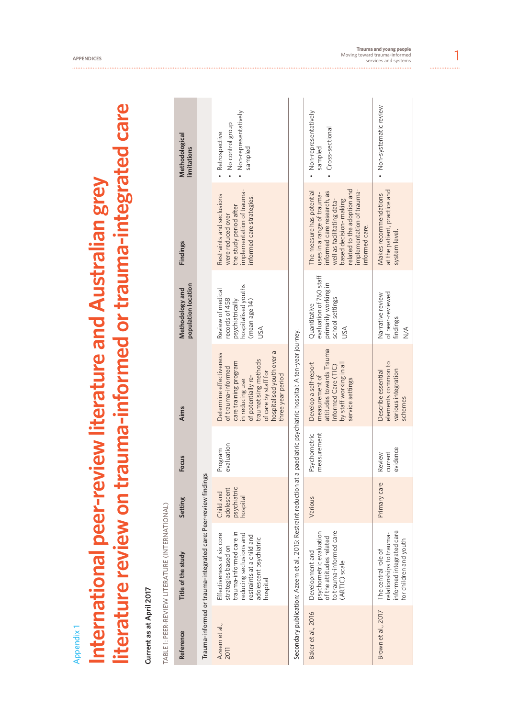Appendix 1

## literature review on trauma-informed or trauma-integrated care **literature review on trauma-informed or trauma-integrated care International peer-review literature and Australian grey**  International peer-review literature and Australian grey

## Current as at April 2017 **Current as at April 2017**

TABLE 1: PEER-REVIEW LITERATURE (INTERNATIONAL) TABLE 1: PEER-REVIEW LITERATURE (INTERNATIONAL)

| Methodological<br>limitations          |                                                                 | Non-representatively<br>No control group<br>Retrospective<br>sampled                                                                                                                                              |                                                                                                                          | Non-representatively<br>Cross-sectional<br>sampled                                                                                                                                                                        | Non-systematic review                                                                                 |
|----------------------------------------|-----------------------------------------------------------------|-------------------------------------------------------------------------------------------------------------------------------------------------------------------------------------------------------------------|--------------------------------------------------------------------------------------------------------------------------|---------------------------------------------------------------------------------------------------------------------------------------------------------------------------------------------------------------------------|-------------------------------------------------------------------------------------------------------|
| Findings                               |                                                                 | implementation of trauma-<br>Restraints and seclusions<br>informed care strategies.<br>the study period after<br>were reduced over                                                                                |                                                                                                                          | related to the adoption and<br>implementation of trauma-<br>uses in a range of trauma-<br>informed care research, as<br>The measure has potential<br>based decision-making<br>well as facilitating data-<br>nformed care. | at the patient, practice and<br>Makes recommendations<br>system level.                                |
| population location<br>Methodology and |                                                                 | hospitalised youths<br>Review of medical<br>records of 458<br>psychiatrically<br>(mean age 14)<br>USA                                                                                                             |                                                                                                                          | evaluation of 760 staff<br>primarily working in<br>school settings<br>Quantitative<br>USA                                                                                                                                 | of peer-reviewed<br>Narrative review<br>findings<br>N /A                                              |
| Aims                                   |                                                                 | hospitalised youth over a<br>Determine effectiveness<br>traumatising methods<br>care training program<br>of trauma-informed<br>of care by staff for<br>three year period<br>of potentially re-<br>in reducing use |                                                                                                                          | attitudes towards Trauma<br>Develop a self-report<br>by staff working in all<br>Informed Care (TIC)<br>measurement of<br>service settings                                                                                 | elements common to<br>various integration<br>Describe essential<br>schemes                            |
| Focus                                  |                                                                 | evaluation<br>Program                                                                                                                                                                                             |                                                                                                                          | measurement<br>Psychometric                                                                                                                                                                                               | evidence<br>Review<br>current                                                                         |
| <b>Setting</b>                         |                                                                 | psychiatric<br>adolescent<br>Child and<br>hospital                                                                                                                                                                |                                                                                                                          | Various                                                                                                                                                                                                                   | Primary care                                                                                          |
| Title of the study                     | Trauma-informed or trauma-integrated care: Peer-review findings | trauma-informed care in<br>Effectiveness of six core<br>reducing seclusions and<br>restraints at a child and<br>adolescent psychiatric<br>strategies based on<br>hospital                                         | Secondary publication: Azeem et al., 2015: Restraint reduction at a paediatric psychiatric hospital: A ten-year journey. | to trauma-informed care<br>psychometric evaluation<br>of the attitudes related<br>Development and<br>(ARTIC) scale                                                                                                        | informed integrated care<br>relationships to trauma-<br>for children and youth<br>The central role of |
| Reference                              |                                                                 | Azeem et al.,<br>2011                                                                                                                                                                                             |                                                                                                                          | Baker et al., 2016                                                                                                                                                                                                        | Brown et al., 2017                                                                                    |

 $\sum_{i=1}^{n}$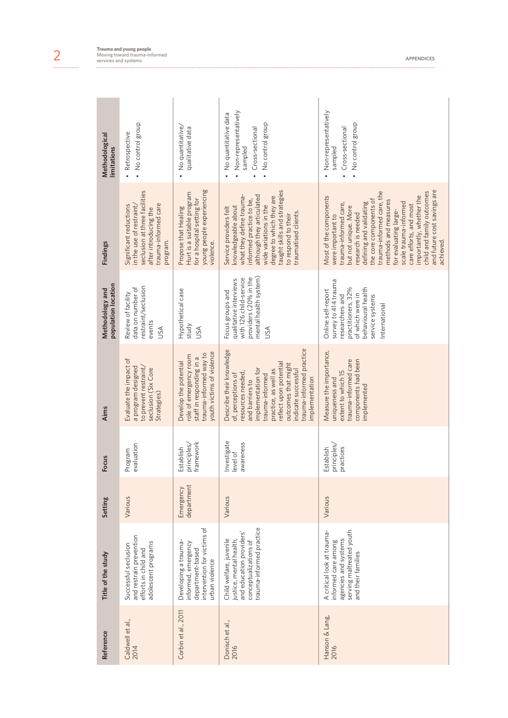| Methodological<br>limitations          | No control group<br>Retrospective                                                                                                                | No quantitative,<br>qualitative data                                                                                               | Non-representatively<br>No quantitative data<br>No control group<br>Cross-sectional<br>sampled                                                                                                                                                                               | Non-representatively<br>No control group<br>Cross-sectional<br>sampled                                                                                                                                                                                                                                                                                                                                        |
|----------------------------------------|--------------------------------------------------------------------------------------------------------------------------------------------------|------------------------------------------------------------------------------------------------------------------------------------|------------------------------------------------------------------------------------------------------------------------------------------------------------------------------------------------------------------------------------------------------------------------------|---------------------------------------------------------------------------------------------------------------------------------------------------------------------------------------------------------------------------------------------------------------------------------------------------------------------------------------------------------------------------------------------------------------|
| Findings                               | seclusion at three facilities<br>in the use of restraint/<br>trauma-informed care<br>Significant reductions<br>after introducing the<br>program. | young people experiencing<br>Hurt is a suitable program<br>for a hospital setting for<br>Propose that Healing<br>violence.         | taught skills and strategies<br>what they define trauma-<br>although they articulated<br>degree to which they are<br>informed practice to be,<br>wide variations in the<br>knowledgeable about<br>Service providers felt<br>traumatised clients.<br>to respond to their      | and future cost savings are<br>trauma-informed care, the<br>child and family outcomes<br>importantly, whether the<br>Most of the components<br>the core components of<br>methods and measures<br>defining and validating<br>scale trauma-informed<br>trauma-informed care,<br>care efforts, and most<br>out not unique. More<br>for evaluating large-<br>research is needed<br>were important to<br>achieved. |
| population location<br>Methodology and | restraint/seclusion<br>data on number of<br>Review of facility<br>events<br>USA                                                                  | Hypothetical case<br>study<br>JSA                                                                                                  | mental health system)<br>providers (20% in the<br>with 126 child-service<br>qualitative interviews<br>Focus groups and<br>JSA                                                                                                                                                | survey to 414 trauma<br>behavioural health<br>practitioners, 32%<br>Online self-report<br>of which were in<br>service systems<br>esearchers and<br>nternational                                                                                                                                                                                                                                               |
| Aims                                   | Evaluate the impact of<br>to prevent restraint/<br>a program designed<br>seclusion (Six Core<br>Strategies)                                      | youth victims of violence<br>trauma-informed way to<br>role of emergency room<br>staff in responding in a<br>Develop the potential | trauma-informed practice<br>Describe their knowledge<br>reflect upon potential<br>outcomes that might<br>implementation for<br>practice, as well as<br>indicate successful<br>resources needed<br>trauma-informed<br>of, perceptions of<br>implementation<br>and barriers to | Measure the importance,<br>trauma-informed care<br>components had been<br>extent to which 15<br>uniqueness and<br>implemented                                                                                                                                                                                                                                                                                 |
| Focus                                  | evaluation<br>Program                                                                                                                            | framework<br>principles,<br>Establish                                                                                              | nvestigate<br>awareness<br>evel of                                                                                                                                                                                                                                           | principles,<br>Establish<br>practices                                                                                                                                                                                                                                                                                                                                                                         |
| <b>Setting</b>                         | Various                                                                                                                                          | department<br>Emergency                                                                                                            | Various                                                                                                                                                                                                                                                                      | Various                                                                                                                                                                                                                                                                                                                                                                                                       |
| Title of the study                     | and restrain prevention<br>adolescent programs<br>Successful seclusion<br>efforts in child and                                                   | ntervention for victims of<br>Developing a trauma-<br>nformed, emergency<br>department-based<br>urban violence                     | trauma-informed practice<br>and education providers'<br>Child welfare, juvenile<br>justice, mental health<br>conceptualizations of                                                                                                                                           | serving maltreated youth<br>A critical look at trauma-<br>agencies and systems<br>informed care among<br>and their families                                                                                                                                                                                                                                                                                   |
| Reference                              | Caldwell et al.,<br>2014                                                                                                                         | Corbin et al., 2011                                                                                                                | Donisch et al.,<br>2016                                                                                                                                                                                                                                                      | Hanson & Lang,<br>2016                                                                                                                                                                                                                                                                                                                                                                                        |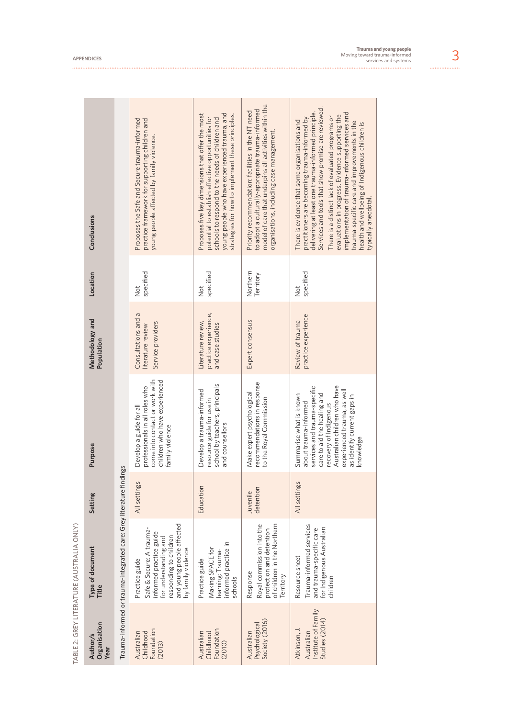| ๔        |  |
|----------|--|
|          |  |
|          |  |
|          |  |
|          |  |
|          |  |
|          |  |
|          |  |
| ļ<br>l   |  |
| ļ        |  |
|          |  |
|          |  |
|          |  |
| ū        |  |
| ļ        |  |
|          |  |
|          |  |
|          |  |
|          |  |
|          |  |
| $\vdots$ |  |
|          |  |
|          |  |
|          |  |
|          |  |
|          |  |
|          |  |
| í        |  |
| $\vdots$ |  |
| ï        |  |
|          |  |
|          |  |
| ï        |  |
| ĺ<br>¢   |  |
|          |  |
| I<br>ı   |  |
|          |  |
|          |  |
| ć        |  |
| É        |  |
|          |  |
|          |  |

|                                  |                                                                     | Proposes the Safe and Secure trauma-informed<br>practice framework for supporting children and<br>young people affected by family violence.                                 | young people who have experienced trauma, and<br>strategies for how to implement these principles.<br>Proposes five key dimensions that offer the most<br>potential to establish effective opportunities for<br>schools to respond to the needs of children and | model of care that underpins all activities within the<br>to adopt a culturally-appropriate trauma-informed<br>Priority recommendation: facilities in the NT need<br>organisations, including case management. | Services and tools that show promise are reviewed<br>delivering at least one trauma-informed principle.<br>implementation of trauma-informed services and<br>evaluations in progress. Evidence supporting the<br>There is a distinct lack of evaluated programs or<br>practitioners are becoming trauma-informed by<br>There is evidence that some organisations and<br>trauma-specific care and improvements in the<br>health and wellbeing of Indigenous children is |
|----------------------------------|---------------------------------------------------------------------|-----------------------------------------------------------------------------------------------------------------------------------------------------------------------------|-----------------------------------------------------------------------------------------------------------------------------------------------------------------------------------------------------------------------------------------------------------------|----------------------------------------------------------------------------------------------------------------------------------------------------------------------------------------------------------------|------------------------------------------------------------------------------------------------------------------------------------------------------------------------------------------------------------------------------------------------------------------------------------------------------------------------------------------------------------------------------------------------------------------------------------------------------------------------|
| Conclusions                      |                                                                     |                                                                                                                                                                             |                                                                                                                                                                                                                                                                 |                                                                                                                                                                                                                | typically anecdotal                                                                                                                                                                                                                                                                                                                                                                                                                                                    |
| Location                         |                                                                     | specified<br>$\frac{1}{2}$                                                                                                                                                  | specified<br>$\frac{1}{2}$                                                                                                                                                                                                                                      | Northern<br>Territory                                                                                                                                                                                          | specified<br>$\frac{1}{2}$                                                                                                                                                                                                                                                                                                                                                                                                                                             |
| Methodology and<br>Population    |                                                                     | Consultations and a<br>Service providers<br>literature review                                                                                                               | practice experience,<br>Literature review,<br>and case studies                                                                                                                                                                                                  | Expert consensus                                                                                                                                                                                               | practice experience<br>Review of trauma                                                                                                                                                                                                                                                                                                                                                                                                                                |
| Purpose                          |                                                                     | come into contact or work with<br>children who have experienced<br>professionals in all roles who<br>Develop a guide for all<br>family violence                             | school by teachers, principals<br>Develop a trauma-informed<br>resource guide for use in<br>and counsellors                                                                                                                                                     | recommendations in response<br>Make expert psychological<br>to the Royal Commission                                                                                                                            | Australian children who have<br>services and trauma-specific<br>experienced trauma, as well<br>care to aid the healing and<br>Summarise what is known<br>as identify current gaps in<br>about trauma-informed<br>recovery of Indigenous<br>knowledge                                                                                                                                                                                                                   |
| <b>Setting</b>                   |                                                                     | All settings                                                                                                                                                                | Education                                                                                                                                                                                                                                                       | detention<br>Juvenile                                                                                                                                                                                          | All settings                                                                                                                                                                                                                                                                                                                                                                                                                                                           |
| Type of document<br>Title        | Trauma-informed or trauma-integrated care: Grey literature findings | and young people affected<br>Safe & Secure: A trauma-<br>informed practice guide<br>responding to children<br>for understanding and<br>by family violence<br>Practice guide | informed practice in<br>Making SPACE for<br>learning: Trauma-<br>Practice guide<br>schools                                                                                                                                                                      | Royal commission into the<br>of children in the Northern<br>protection and detention<br>Response<br>Territory                                                                                                  | Trauma-informed services<br>for Indigenous Australian<br>and trauma-specific care<br>Resource sheet<br>children                                                                                                                                                                                                                                                                                                                                                        |
| Organisation<br>Author/s<br>Year |                                                                     | Foundation<br>Australian<br>Childhood<br>(2013)                                                                                                                             | Foundation<br>Australian<br>Childhood<br>(2010)                                                                                                                                                                                                                 | Society (2016)<br>Psychological<br>Australian                                                                                                                                                                  | Institute of Family<br>Studies (2014)<br>Atkinson, J.<br>Australian                                                                                                                                                                                                                                                                                                                                                                                                    |

 $1.1.1.1.1.1.1.1.1.1.1.1$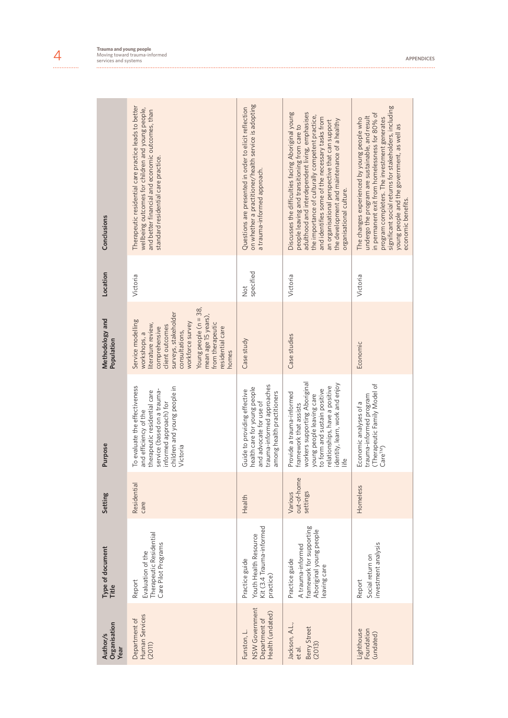| Conclusions                      | Therapeutic residential care practice leads to better<br>wellbeing outcomes for children and young people,<br>and better financial and economic outcomes, than<br>standard residential care practice.                                                      | on whether a practitioner/health service is adopting<br>Questions are presented in order to elicit reflection<br>a trauma-informed approach.        | adulthood and interdependent living, emphasises<br>Discusses the difficulties facing Aboriginal young<br>the importance of culturally competent practice,<br>and identifies some of the necessary tasks from<br>the development and maintenance of a healthy<br>an organisational perspective that can support<br>people leaving and transitioning from care to<br>organisational culture. | significant social returns for stakeholders, including<br>in permanent exit from homelessness for 80% of<br>undergo the program are sustainable, and result<br>program completers. The investment generates<br>The changes experienced by young people who<br>young people and the government, as well as<br>economic benefits. |
|----------------------------------|------------------------------------------------------------------------------------------------------------------------------------------------------------------------------------------------------------------------------------------------------------|-----------------------------------------------------------------------------------------------------------------------------------------------------|--------------------------------------------------------------------------------------------------------------------------------------------------------------------------------------------------------------------------------------------------------------------------------------------------------------------------------------------------------------------------------------------|---------------------------------------------------------------------------------------------------------------------------------------------------------------------------------------------------------------------------------------------------------------------------------------------------------------------------------|
| Location                         | Victoria                                                                                                                                                                                                                                                   | specified<br><sub>2</sub>                                                                                                                           | Victoria                                                                                                                                                                                                                                                                                                                                                                                   | Victoria                                                                                                                                                                                                                                                                                                                        |
| Methodology and<br>Population    | Young people (n = 38,<br>surveys, stakeholder<br>mean age 15 years),<br>Service modelling<br>workforce survey<br>from therapeutic<br>literature review,<br>client outcomes<br>comprehensive<br>residential care<br>consultations,<br>workshops, a<br>nomes | Case study                                                                                                                                          | Case studies                                                                                                                                                                                                                                                                                                                                                                               | Economic                                                                                                                                                                                                                                                                                                                        |
| Purpose                          | To evaluate the effectiveness<br>children and young people in<br>service (based on a trauma-<br>therapeutic residential care<br>informed approach) for<br>and efficiency of the<br>Victoria                                                                | trauma-informed approaches<br>health care for young people<br>Guide to providing effective<br>among health practitioners<br>and advocate for use of | workers supporting Aboriginal<br>identity, learn, work and enjoy<br>relationships, have a positive<br>to form and sustain positive<br>Provide a trauma-informed<br>young people leaving care<br>framework that assists<br>life                                                                                                                                                             | (Therapeutic Family Model of<br>trauma-informed program<br>Economic analyses of a<br>Care <sup>TM</sup> )                                                                                                                                                                                                                       |
| <b>Setting</b>                   | Residential<br>care                                                                                                                                                                                                                                        | Health                                                                                                                                              | out-of-home<br>Various<br>settings                                                                                                                                                                                                                                                                                                                                                         | Homeless                                                                                                                                                                                                                                                                                                                        |
| Type of document<br>Title        | Therapeutic Residential<br>Care Pilot Programs<br>Evaluation of the<br>Report                                                                                                                                                                              | Kit (3.4 Trauma-informed<br>Youth Health Resource<br>Practice guide<br>practice)                                                                    | ramework for supporting<br>Aboriginal young people<br>A trauma-informed<br>Practice guide<br>eaving care                                                                                                                                                                                                                                                                                   | investment analysis<br>Social return on<br>Report                                                                                                                                                                                                                                                                               |
| Organisation<br>Author/s<br>Year | Human Services<br>Department of<br>(2011)                                                                                                                                                                                                                  | NSW Government<br>Health (undated)<br>Department of<br>Funston, L.                                                                                  | Jackson, A.L.,<br>Berry Street<br>(2013)<br>et al.                                                                                                                                                                                                                                                                                                                                         | Foundation<br>Lighthouse<br>(undated)                                                                                                                                                                                                                                                                                           |